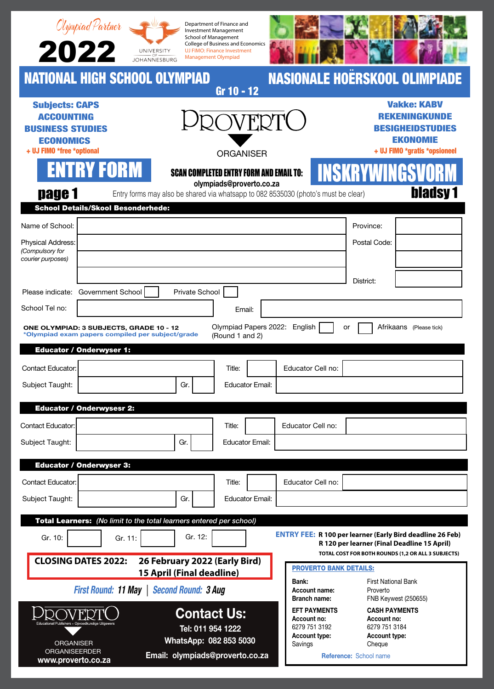|                                                                                                                        |                                           |                                  | Department of Finance and<br><b>Investment Management</b><br><b>School of Management</b>       |                                                                                    |                                                                                                                                                                       |  |
|------------------------------------------------------------------------------------------------------------------------|-------------------------------------------|----------------------------------|------------------------------------------------------------------------------------------------|------------------------------------------------------------------------------------|-----------------------------------------------------------------------------------------------------------------------------------------------------------------------|--|
| Olympiad Partner<br>2022                                                                                               | UNIVERSITY<br><b>JOHANNESBURG</b>         |                                  | College of Business and Economics<br>UJ FIMO: Finance Investment<br><b>Management Olympiad</b> |                                                                                    |                                                                                                                                                                       |  |
| <b>NATIONAL HIGH SCHOOL OLYMPIAD</b>                                                                                   |                                           |                                  | Gr 10 - 12                                                                                     |                                                                                    | <b>NASIONALE HOERSKOOL OLIMPIADE</b>                                                                                                                                  |  |
| <b>Subjects: CAPS</b><br><b>ACCOUNTING</b><br><b>BUSINESS STUDIES</b><br><b>ECONOMICS</b><br>+ UJ FIMO *free *optional |                                           |                                  | <b>ORGANISER</b>                                                                               |                                                                                    | <b>Vakke: KABV</b><br><b>REKENINGKUNDE</b><br><b>BESIGHEIDSTUDIES</b><br><b>EKONOMIE</b><br>+ UJ FIMO *gratis *opsioneel                                              |  |
| <b>ENTRY FORM</b><br>page 1                                                                                            |                                           |                                  | <b>SCAN COMPLETED ENTRY FORM AND EMAIL TO:</b><br>olympiads@proverto.co.za                     | Entry forms may also be shared via whatsapp to 082 8535030 (photo's must be clear) | <b>INSKRYWINGSVOR</b><br><b>bladsy 1</b>                                                                                                                              |  |
| <b>School Details/Skool Besonderhede:</b>                                                                              |                                           |                                  |                                                                                                |                                                                                    |                                                                                                                                                                       |  |
| Name of School:<br>Physical Address:<br>(Compulsory for<br>courier purposes)                                           |                                           |                                  |                                                                                                |                                                                                    | Province:<br>Postal Code:                                                                                                                                             |  |
| Please indicate: Government School                                                                                     |                                           | Private School                   |                                                                                                |                                                                                    | District:                                                                                                                                                             |  |
| School Tel no:                                                                                                         |                                           |                                  | Email:                                                                                         |                                                                                    |                                                                                                                                                                       |  |
| Contact Educator:<br>Subject Taught:                                                                                   |                                           | Gr.                              | Title:<br><b>Educator Email:</b>                                                               | Educator Cell no:                                                                  |                                                                                                                                                                       |  |
| <b>Educator / Onderwysesr 2:</b>                                                                                       |                                           |                                  |                                                                                                |                                                                                    |                                                                                                                                                                       |  |
| <b>Contact Educator:</b>                                                                                               |                                           |                                  | Title:                                                                                         | Educator Cell no:                                                                  |                                                                                                                                                                       |  |
| Subject Taught:                                                                                                        |                                           | Gr.                              | <b>Educator Email:</b>                                                                         |                                                                                    |                                                                                                                                                                       |  |
| <b>Educator / Onderwyser 3:</b>                                                                                        |                                           |                                  |                                                                                                |                                                                                    |                                                                                                                                                                       |  |
| <b>Contact Educator:</b>                                                                                               |                                           |                                  | Title:                                                                                         | Educator Cell no:                                                                  |                                                                                                                                                                       |  |
| Subject Taught:                                                                                                        |                                           | Gr.                              | <b>Educator Email:</b>                                                                         |                                                                                    |                                                                                                                                                                       |  |
| Total Learners: (No limit to the total learners entered per school)                                                    |                                           |                                  |                                                                                                |                                                                                    |                                                                                                                                                                       |  |
| Gr. 10:                                                                                                                | Gr. 11:                                   | Gr. 12:                          |                                                                                                |                                                                                    | <b>ENTRY FEE: R 100 per learner (Early Bird deadline 26 Feb)</b><br>R 120 per learner (Final Deadline 15 April)<br>TOTAL COST FOR BOTH ROUNDS (1,2 OR ALL 3 SUBJECTS) |  |
| <b>CLOSING DATES 2022:</b>                                                                                             |                                           | <b>15 April (Final deadline)</b> | 26 February 2022 (Early Bird)                                                                  | <b>PROVERTO BANK DETAILS:</b>                                                      |                                                                                                                                                                       |  |
|                                                                                                                        | First Round: 11 May   Second Round: 3 Aug |                                  |                                                                                                | <b>Bank:</b><br>Account name:<br><b>Branch name:</b>                               | <b>First National Bank</b><br>Proverto<br><b>FNB Keywest (250655)</b>                                                                                                 |  |
| FD                                                                                                                     |                                           | Tel: 011 954 1222                | <b>Contact Us:</b>                                                                             | <b>EFT PAYMENTS</b><br>Account no:<br>6279 751 3192<br><b>Account type:</b>        | <b>CASH PAYMENTS</b><br>Account no:<br>6279 751 3184<br>Account type:                                                                                                 |  |
| <b>ORGANISER</b><br><b>ORGANISEERDER</b>                                                                               |                                           | WhatsApp: 082 853 5030           |                                                                                                | Savings                                                                            | Cheque                                                                                                                                                                |  |
| www.proverto.co.za                                                                                                     |                                           |                                  | Email: olympiads@proverto.co.za                                                                |                                                                                    | Reference: School name                                                                                                                                                |  |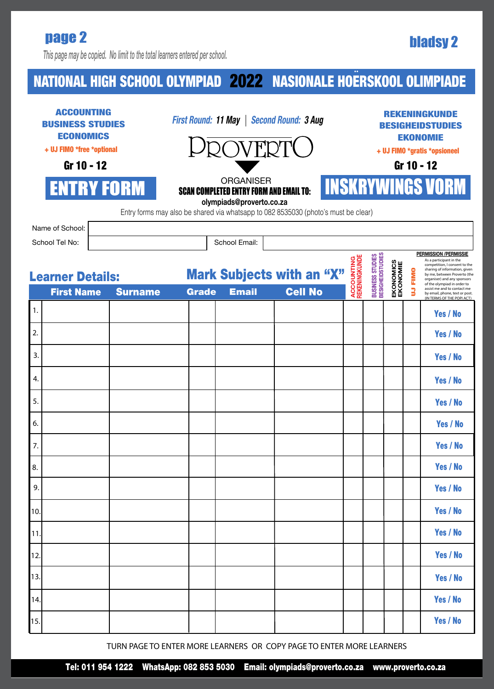# bladsy 2 page 2

*This page may be copied. No limit to the total learners entered per school.*

### NATIONAL HIGH SCHOOL OLYMPIAD 2022 NASIONALE HOERSKOOL OLIMPIADE **..** 2022

| <b>ACCOUNTING</b><br><b>BUSINESS STUDIES</b><br><b>ECONOMICS</b><br>+ UJ FIMO *free *optional<br>Gr 10 - 12<br><b>ENTRY FORM</b> |                                              |              | First Round: 11 May   Second Round: 3 Aug<br>OVERTC<br><b>ORGANISER</b><br><b>SCAN COMPLETED ENTRY FORM AND EMAIL TO:</b><br>olympiads@proverto.co.za<br>Entry forms may also be shared via whatsapp to 082 8535030 (photo's must be clear) |                                                    |                                    |                                      |                       |                  | (ENINGKUNDE<br><b>BESIGHEIDSTUDIES</b><br><b>EKONOMIE</b><br>+ UJ FIMO *gratis *opsioneel<br>Gr 10 - 12<br><b>INSKRYWINGS VORM</b>                                                                                                                                                                                     |          |  |  |  |  |
|----------------------------------------------------------------------------------------------------------------------------------|----------------------------------------------|--------------|---------------------------------------------------------------------------------------------------------------------------------------------------------------------------------------------------------------------------------------------|----------------------------------------------------|------------------------------------|--------------------------------------|-----------------------|------------------|------------------------------------------------------------------------------------------------------------------------------------------------------------------------------------------------------------------------------------------------------------------------------------------------------------------------|----------|--|--|--|--|
|                                                                                                                                  | Name of School:                              |              |                                                                                                                                                                                                                                             |                                                    |                                    |                                      |                       |                  |                                                                                                                                                                                                                                                                                                                        |          |  |  |  |  |
|                                                                                                                                  | School Tel No:                               |              |                                                                                                                                                                                                                                             | School Email:                                      |                                    |                                      |                       |                  |                                                                                                                                                                                                                                                                                                                        |          |  |  |  |  |
|                                                                                                                                  | <b>Learner Details:</b><br><b>First Name</b> | <b>Grade</b> | <b>Email</b>                                                                                                                                                                                                                                | <b>Mark Subjects with an "X"</b><br><b>Cell No</b> | <b>ACCOUNTING</b><br>REKENINGKUNDE | BUSINESS STUDIES<br>BESIGHEIDSTUDIES | EKONOMICS<br>EKONOMIE | <b>FIMO</b><br>3 | <b>PERMISSION /PERMISSIE</b><br>As a participant in the<br>competition, I consent to the<br>sharing of information, given<br>by me, between Proverto (the<br>organiser) and any sponsors<br>of the olympiad in order to<br>assist me and to contact me<br>by email, phone, text or post.<br>(IN TERMS OF THE POPI ACT) |          |  |  |  |  |
| 1.                                                                                                                               |                                              |              |                                                                                                                                                                                                                                             |                                                    |                                    |                                      |                       |                  |                                                                                                                                                                                                                                                                                                                        | Yes / No |  |  |  |  |
| 2.                                                                                                                               |                                              |              |                                                                                                                                                                                                                                             |                                                    |                                    |                                      |                       |                  |                                                                                                                                                                                                                                                                                                                        | Yes / No |  |  |  |  |
| 3.                                                                                                                               |                                              |              |                                                                                                                                                                                                                                             |                                                    |                                    |                                      |                       |                  |                                                                                                                                                                                                                                                                                                                        | Yes / No |  |  |  |  |
| 4.                                                                                                                               |                                              |              |                                                                                                                                                                                                                                             |                                                    |                                    |                                      |                       |                  |                                                                                                                                                                                                                                                                                                                        | Yes / No |  |  |  |  |
| 5.                                                                                                                               |                                              |              |                                                                                                                                                                                                                                             |                                                    |                                    |                                      |                       |                  |                                                                                                                                                                                                                                                                                                                        | Yes / No |  |  |  |  |
| 6.                                                                                                                               |                                              |              |                                                                                                                                                                                                                                             |                                                    |                                    |                                      |                       |                  |                                                                                                                                                                                                                                                                                                                        | Yes / No |  |  |  |  |
| 7.                                                                                                                               |                                              |              |                                                                                                                                                                                                                                             |                                                    |                                    |                                      |                       |                  |                                                                                                                                                                                                                                                                                                                        | Yes / No |  |  |  |  |
| 8.                                                                                                                               |                                              |              |                                                                                                                                                                                                                                             |                                                    |                                    |                                      |                       |                  |                                                                                                                                                                                                                                                                                                                        | Yes / No |  |  |  |  |
| 9.                                                                                                                               |                                              |              |                                                                                                                                                                                                                                             |                                                    |                                    |                                      |                       |                  |                                                                                                                                                                                                                                                                                                                        | Yes / No |  |  |  |  |
| 10.                                                                                                                              |                                              |              |                                                                                                                                                                                                                                             |                                                    |                                    |                                      |                       |                  |                                                                                                                                                                                                                                                                                                                        | Yes / No |  |  |  |  |
| 11.                                                                                                                              |                                              |              |                                                                                                                                                                                                                                             |                                                    |                                    |                                      |                       |                  |                                                                                                                                                                                                                                                                                                                        | Yes / No |  |  |  |  |
| 12.                                                                                                                              |                                              |              |                                                                                                                                                                                                                                             |                                                    |                                    |                                      |                       |                  |                                                                                                                                                                                                                                                                                                                        | Yes / No |  |  |  |  |
| 13.                                                                                                                              |                                              |              |                                                                                                                                                                                                                                             |                                                    |                                    |                                      |                       |                  |                                                                                                                                                                                                                                                                                                                        | Yes / No |  |  |  |  |
| 14.                                                                                                                              |                                              |              |                                                                                                                                                                                                                                             |                                                    |                                    |                                      |                       |                  |                                                                                                                                                                                                                                                                                                                        | Yes / No |  |  |  |  |
| 15.                                                                                                                              |                                              |              |                                                                                                                                                                                                                                             |                                                    |                                    |                                      |                       |                  |                                                                                                                                                                                                                                                                                                                        | Yes / No |  |  |  |  |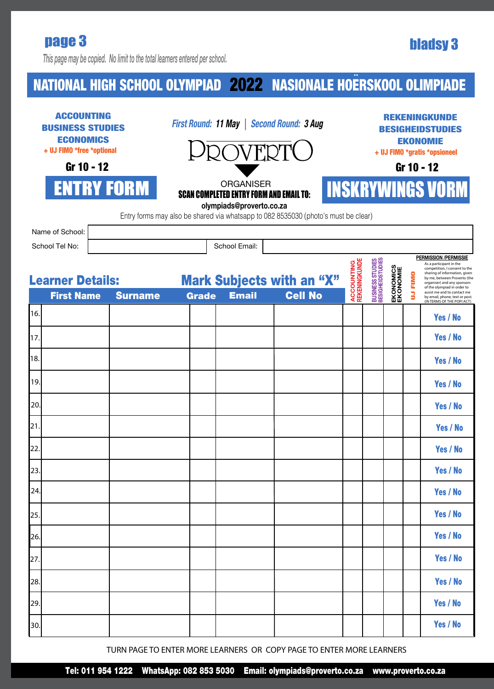## page 3 bladsy 3

*This page may be copied. No limit to the total learners entered per school.*

### NATIONAL HIGH SCHOOL OLYMPIAD 2022 NASIONALE HOERSKOOL OLIMPIADE **..** 2022

| <b>ACCOUNTING</b><br><b>BUSINESS STUDIES</b><br><b>ECONOMICS</b><br>+ UJ FIMO *free *optional<br>Gr 10 - 12 |                                              |  |                | First Round: 11 May   Second Round: 3 Aug<br>2OVERTC                                                |              |                                                  |                |  | <b>REKENINGKUNDE</b><br><b>BESIGHEIDSTUDIES</b><br><b>EKONOMIE</b><br>+ UJ FIMO *gratis *opsioneel<br>Gr 10 - 12 |                                      |                       |           |                                                                                                                                                                                                                                                                                                                        |  |
|-------------------------------------------------------------------------------------------------------------|----------------------------------------------|--|----------------|-----------------------------------------------------------------------------------------------------|--------------|--------------------------------------------------|----------------|--|------------------------------------------------------------------------------------------------------------------|--------------------------------------|-----------------------|-----------|------------------------------------------------------------------------------------------------------------------------------------------------------------------------------------------------------------------------------------------------------------------------------------------------------------------------|--|
| <b>ENTRY FORM</b>                                                                                           |                                              |  |                | <b>ORGANISER</b><br><b>SCAN COMPLETED ENTRY FORM AND EMAIL TO:</b><br>olympiads@proverto.co.za      |              |                                                  |                |  |                                                                                                                  | <b>INSKRYWINGS VORM</b>              |                       |           |                                                                                                                                                                                                                                                                                                                        |  |
|                                                                                                             | Name of School:<br>School Tel No:            |  |                | Entry forms may also be shared via whatsapp to 082 8535030 (photo's must be clear)<br>School Email: |              |                                                  |                |  |                                                                                                                  |                                      |                       |           |                                                                                                                                                                                                                                                                                                                        |  |
|                                                                                                             | <b>Learner Details:</b><br><b>First Name</b> |  | <b>Surname</b> |                                                                                                     | <b>Grade</b> | <b>Mark Subjects with an "X"</b><br><b>Email</b> | <b>Cell No</b> |  | <b>ACCOUNTING</b><br>REKENINGKUNDE                                                                               | BUSINESS STUDIES<br>BESIGHEIDSTUDIES | EKONOMICS<br>EKONOMIE | FIMO<br>3 | <b>PERMISSION /PERMISSIE</b><br>As a participant in the<br>competition, I consent to the<br>sharing of information, given<br>by me, between Proverto (the<br>organiser) and any sponsors<br>of the olympiad in order to<br>assist me and to contact me<br>by email, phone, text or post.<br>(IN TERMS OF THE POPI ACT) |  |
| 16.                                                                                                         |                                              |  |                |                                                                                                     |              |                                                  |                |  |                                                                                                                  |                                      |                       |           | Yes / No                                                                                                                                                                                                                                                                                                               |  |
| 17.                                                                                                         |                                              |  |                |                                                                                                     |              |                                                  |                |  |                                                                                                                  |                                      |                       |           | Yes / No                                                                                                                                                                                                                                                                                                               |  |
| 18.                                                                                                         |                                              |  |                |                                                                                                     |              |                                                  |                |  |                                                                                                                  |                                      |                       |           | Yes / No                                                                                                                                                                                                                                                                                                               |  |
| 19.                                                                                                         |                                              |  |                |                                                                                                     |              |                                                  |                |  |                                                                                                                  |                                      |                       |           | Yes / No                                                                                                                                                                                                                                                                                                               |  |
| 20.                                                                                                         |                                              |  |                |                                                                                                     |              |                                                  |                |  |                                                                                                                  |                                      |                       |           | Yes / No                                                                                                                                                                                                                                                                                                               |  |
| 21.                                                                                                         |                                              |  |                |                                                                                                     |              |                                                  |                |  |                                                                                                                  |                                      |                       |           | Yes / No                                                                                                                                                                                                                                                                                                               |  |
| 22.                                                                                                         |                                              |  |                |                                                                                                     |              |                                                  |                |  |                                                                                                                  |                                      |                       |           | Yes / No                                                                                                                                                                                                                                                                                                               |  |
| 23.                                                                                                         |                                              |  |                |                                                                                                     |              |                                                  |                |  |                                                                                                                  |                                      |                       |           | Yes / No                                                                                                                                                                                                                                                                                                               |  |
| 24.                                                                                                         |                                              |  |                |                                                                                                     |              |                                                  |                |  |                                                                                                                  |                                      |                       |           | Yes / No                                                                                                                                                                                                                                                                                                               |  |
| 25.                                                                                                         |                                              |  |                |                                                                                                     |              |                                                  |                |  |                                                                                                                  |                                      |                       |           | Yes / No                                                                                                                                                                                                                                                                                                               |  |
| 26.                                                                                                         |                                              |  |                |                                                                                                     |              |                                                  |                |  |                                                                                                                  |                                      |                       |           | Yes / No                                                                                                                                                                                                                                                                                                               |  |
| 27.                                                                                                         |                                              |  |                |                                                                                                     |              |                                                  |                |  |                                                                                                                  |                                      |                       |           | Yes / No                                                                                                                                                                                                                                                                                                               |  |
| 28.                                                                                                         |                                              |  |                |                                                                                                     |              |                                                  |                |  |                                                                                                                  |                                      |                       |           | Yes / No                                                                                                                                                                                                                                                                                                               |  |
| 29.                                                                                                         |                                              |  |                |                                                                                                     |              |                                                  |                |  |                                                                                                                  |                                      |                       |           | Yes / No                                                                                                                                                                                                                                                                                                               |  |
| 30.                                                                                                         |                                              |  |                |                                                                                                     |              |                                                  |                |  |                                                                                                                  |                                      |                       |           | Yes / No                                                                                                                                                                                                                                                                                                               |  |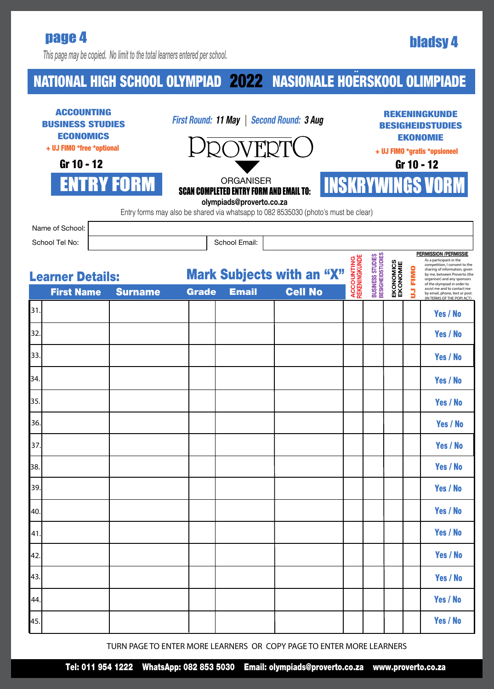## bladsy 4 page 4

*This page may be copied. No limit to the total learners entered per school.*

### NATIONAL HIGH SCHOOL OLYMPIAD 2022 NASIONALE HOERSKOOL OLIMPIADE **..** 2022

| <b>ACCOUNTING</b><br><b>BUSINESS STUDIES</b><br><b>ECONOMICS</b><br>+ UJ FIMO *free *optional<br>Gr 10 - 12<br><b>ENTRY FORM</b> |                                              |  |                | First Round: 11 May   Second Round: 3 Aug<br>2OVERTC<br><b>ORGANISER</b><br><b>SCAN COMPLETED ENTRY FORM AND EMAIL TO:</b><br>olympiads@proverto.co.za<br>Entry forms may also be shared via whatsapp to 082 8535030 (photo's must be clear) |              |               |  |                                                    |                                    |                                     | <b>REKENINGKUNDE</b><br><b>BESIGHEIDSTUDIES</b><br><b>EKONOMIE</b><br>+ UJ FIMO *gratis *opsioneel<br>Gr 10 - 12<br><b>INSKRYWINGS VORM</b> |           |                                                                                                                                                                                                                                                                                        |  |  |
|----------------------------------------------------------------------------------------------------------------------------------|----------------------------------------------|--|----------------|----------------------------------------------------------------------------------------------------------------------------------------------------------------------------------------------------------------------------------------------|--------------|---------------|--|----------------------------------------------------|------------------------------------|-------------------------------------|---------------------------------------------------------------------------------------------------------------------------------------------|-----------|----------------------------------------------------------------------------------------------------------------------------------------------------------------------------------------------------------------------------------------------------------------------------------------|--|--|
|                                                                                                                                  | Name of School:                              |  |                |                                                                                                                                                                                                                                              |              |               |  |                                                    |                                    |                                     |                                                                                                                                             |           |                                                                                                                                                                                                                                                                                        |  |  |
|                                                                                                                                  | School Tel No:                               |  |                |                                                                                                                                                                                                                                              |              | School Email: |  |                                                    |                                    |                                     |                                                                                                                                             |           | <b>PERMISSION /PERMISSIE</b>                                                                                                                                                                                                                                                           |  |  |
|                                                                                                                                  | <b>Learner Details:</b><br><b>First Name</b> |  | <b>Surname</b> |                                                                                                                                                                                                                                              | <b>Grade</b> | <b>Email</b>  |  | <b>Mark Subjects with an "X"</b><br><b>Cell No</b> | <b>ACCOUNTING</b><br>REKENINGKUNDE | BUSINESS STUDIES<br>BESIGHEDSTUDIES | EKONOMICS<br>EKONOMIE                                                                                                                       | FIMO<br>3 | As a participant in the<br>competition, I consent to the<br>sharing of information, given<br>by me, between Proverto (the<br>organiser) and any sponsors<br>of the olympiad in order to<br>assist me and to contact me<br>by email, phone, text or post.<br>(IN TERMS OF THE POPI ACT) |  |  |
| 31.                                                                                                                              |                                              |  |                |                                                                                                                                                                                                                                              |              |               |  |                                                    |                                    |                                     |                                                                                                                                             |           | Yes / No                                                                                                                                                                                                                                                                               |  |  |
| 32.                                                                                                                              |                                              |  |                |                                                                                                                                                                                                                                              |              |               |  |                                                    |                                    |                                     |                                                                                                                                             |           | Yes / No                                                                                                                                                                                                                                                                               |  |  |
| 33.                                                                                                                              |                                              |  |                |                                                                                                                                                                                                                                              |              |               |  |                                                    |                                    |                                     |                                                                                                                                             |           | Yes / No                                                                                                                                                                                                                                                                               |  |  |
| 34.                                                                                                                              |                                              |  |                |                                                                                                                                                                                                                                              |              |               |  |                                                    |                                    |                                     |                                                                                                                                             |           | Yes / No                                                                                                                                                                                                                                                                               |  |  |
| 35.                                                                                                                              |                                              |  |                |                                                                                                                                                                                                                                              |              |               |  |                                                    |                                    |                                     |                                                                                                                                             |           | Yes / No                                                                                                                                                                                                                                                                               |  |  |
| 36.                                                                                                                              |                                              |  |                |                                                                                                                                                                                                                                              |              |               |  |                                                    |                                    |                                     |                                                                                                                                             |           | Yes / No                                                                                                                                                                                                                                                                               |  |  |
| 37.                                                                                                                              |                                              |  |                |                                                                                                                                                                                                                                              |              |               |  |                                                    |                                    |                                     |                                                                                                                                             |           | Yes / No                                                                                                                                                                                                                                                                               |  |  |
| 38.                                                                                                                              |                                              |  |                |                                                                                                                                                                                                                                              |              |               |  |                                                    |                                    |                                     |                                                                                                                                             |           | Yes / No                                                                                                                                                                                                                                                                               |  |  |
| 39.                                                                                                                              |                                              |  |                |                                                                                                                                                                                                                                              |              |               |  |                                                    |                                    |                                     |                                                                                                                                             |           | Yes / No                                                                                                                                                                                                                                                                               |  |  |
| 40.                                                                                                                              |                                              |  |                |                                                                                                                                                                                                                                              |              |               |  |                                                    |                                    |                                     |                                                                                                                                             |           | Yes / No                                                                                                                                                                                                                                                                               |  |  |
| 41.                                                                                                                              |                                              |  |                |                                                                                                                                                                                                                                              |              |               |  |                                                    |                                    |                                     |                                                                                                                                             |           | Yes / No                                                                                                                                                                                                                                                                               |  |  |
| 42.                                                                                                                              |                                              |  |                |                                                                                                                                                                                                                                              |              |               |  |                                                    |                                    |                                     |                                                                                                                                             |           | Yes / No                                                                                                                                                                                                                                                                               |  |  |
| 43.                                                                                                                              |                                              |  |                |                                                                                                                                                                                                                                              |              |               |  |                                                    |                                    |                                     |                                                                                                                                             |           | Yes / No                                                                                                                                                                                                                                                                               |  |  |
| 44.                                                                                                                              |                                              |  |                |                                                                                                                                                                                                                                              |              |               |  |                                                    |                                    |                                     |                                                                                                                                             |           | Yes / No                                                                                                                                                                                                                                                                               |  |  |
| 45.                                                                                                                              |                                              |  |                |                                                                                                                                                                                                                                              |              |               |  |                                                    |                                    |                                     |                                                                                                                                             |           | Yes / No                                                                                                                                                                                                                                                                               |  |  |